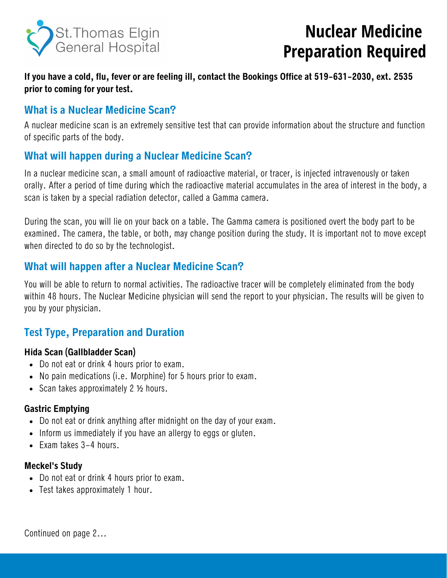

# **Nuclear Medicine Preparation Required**

**If you have a cold, flu, fever or are feeling ill, contact the Bookings Office at 519-631-2030, ext. 2535 prior to coming for your test.**

### **What is a Nuclear Medicine Scan?**

A nuclear medicine scan is an extremely sensitive test that can provide information about the structure and function of specific parts of the body.

## **What will happen during a Nuclear Medicine Scan?**

In a nuclear medicine scan, a small amount of radioactive material, or tracer, is injected intravenously or taken orally. After a period of time during which the radioactive material accumulates in the area of interest in the body, a scan is taken by a special radiation detector, called a Gamma camera.

During the scan, you will lie on your back on a table. The Gamma camera is positioned overt the body part to be examined. The camera, the table, or both, may change position during the study. It is important not to move except when directed to do so by the technologist.

## **What will happen after a Nuclear Medicine Scan?**

You will be able to return to normal activities. The radioactive tracer will be completely eliminated from the body within 48 hours. The Nuclear Medicine physician will send the report to your physician. The results will be given to you by your physician.

# **Test Type, Preparation and Duration**

#### **Hida Scan (Gallbladder Scan)**

- Do not eat or drink 4 hours prior to exam.
- No pain medications (i.e. Morphine) for 5 hours prior to exam.
- Scan takes approximately 2 1/2 hours.

#### **Gastric Emptying**

- Do not eat or drink anything after midnight on the day of your exam.
- Inform us immediately if you have an allergy to eggs or gluten.
- Exam takes 3-4 hours.

#### **Meckel's Study**

- Do not eat or drink 4 hours prior to exam.
- Test takes approximately 1 hour.

Continued on page 2...